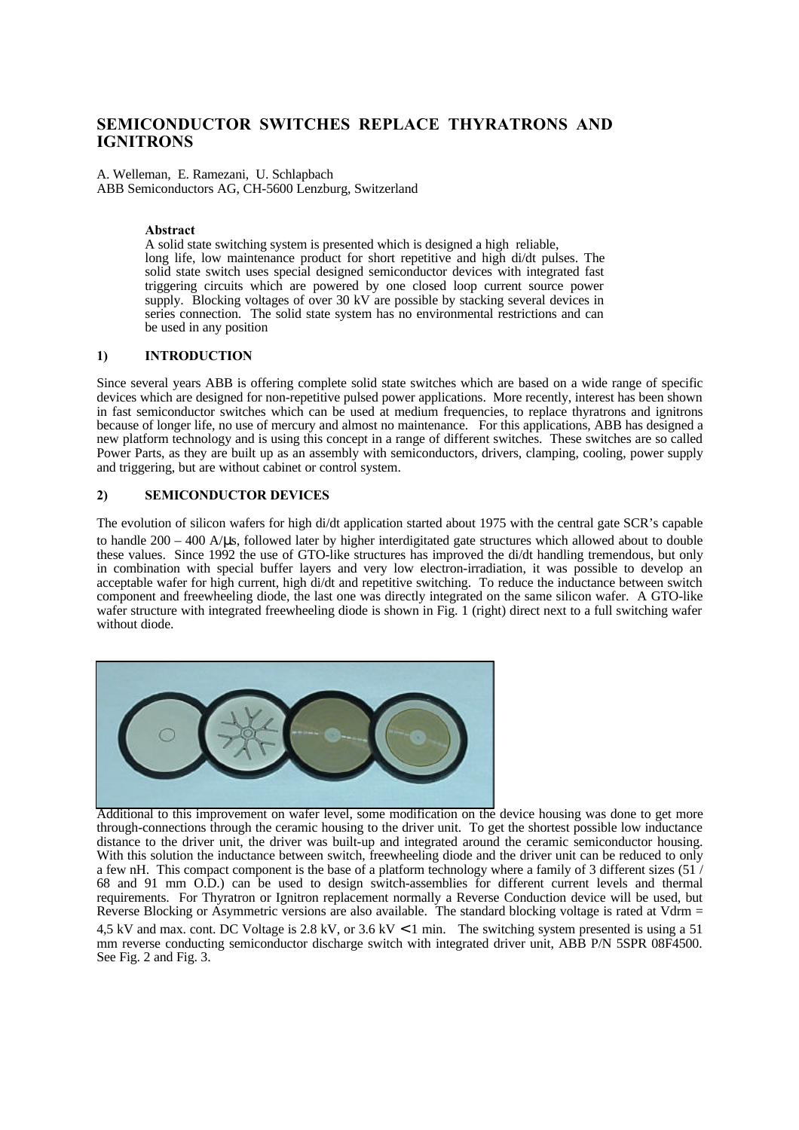# **SEMICONDUCTOR SWITCHES REPLACE THYRATRONS AND IGNITRONS**

A. Welleman, E. Ramezani, U. Schlapbach ABB Semiconductors AG, CH-5600 Lenzburg, Switzerland

# **Abstract**

A solid state switching system is presented which is designed a high reliable, long life, low maintenance product for short repetitive and high di/dt pulses. The solid state switch uses special designed semiconductor devices with integrated fast triggering circuits which are powered by one closed loop current source power supply. Blocking voltages of over 30 kV are possible by stacking several devices in series connection. The solid state system has no environmental restrictions and can be used in any position

# **1) INTRODUCTION**

Since several years ABB is offering complete solid state switches which are based on a wide range of specific devices which are designed for non-repetitive pulsed power applications. More recently, interest has been shown in fast semiconductor switches which can be used at medium frequencies, to replace thyratrons and ignitrons because of longer life, no use of mercury and almost no maintenance. For this applications, ABB has designed a new platform technology and is using this concept in a range of different switches. These switches are so called Power Parts, as they are built up as an assembly with semiconductors, drivers, clamping, cooling, power supply and triggering, but are without cabinet or control system.

# **2) SEMICONDUCTOR DEVICES**

The evolution of silicon wafers for high di/dt application started about 1975 with the central gate SCR's capable to handle  $200 - 400$  A/ $\mu$ s, followed later by higher interdigitated gate structures which allowed about to double these values. Since 1992 the use of GTO-like structures has improved the di/dt handling tremendous, but only in combination with special buffer layers and very low electron-irradiation, it was possible to develop an acceptable wafer for high current, high di/dt and repetitive switching. To reduce the inductance between switch component and freewheeling diode, the last one was directly integrated on the same silicon wafer. A GTO-like wafer structure with integrated freewheeling diode is shown in Fig. 1 (right) direct next to a full switching wafer without diode.



Additional to this improvement on wafer level, some modification on the device housing was done to get more through-connections through the ceramic housing to the driver unit. To get the shortest possible low inductance distance to the driver unit, the driver was built-up and integrated around the ceramic semiconductor housing. With this solution the inductance between switch, freewheeling diode and the driver unit can be reduced to only a few nH. This compact component is the base of a platform technology where a family of 3 different sizes (51 / 68 and 91 mm O.D.) can be used to design switch-assemblies for different current levels and thermal requirements. For Thyratron or Ignitron replacement normally a Reverse Conduction device will be used, but Reverse Blocking or Asymmetric versions are also available. The standard blocking voltage is rated at Vdrm = 4,5 kV and max. cont. DC Voltage is 2.8 kV, or 3.6 kV < 1 min. The switching system presented is using a 51

mm reverse conducting semiconductor discharge switch with integrated driver unit, ABB P/N 5SPR 08F4500. See Fig. 2 and Fig. 3.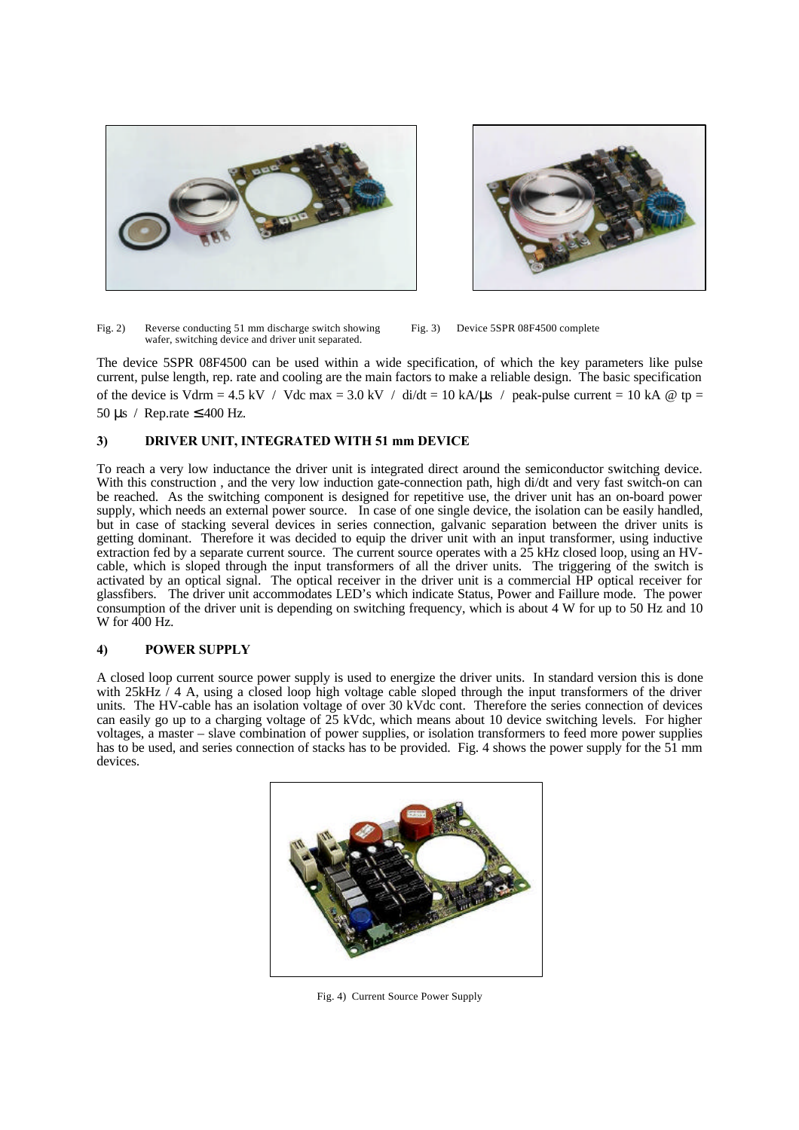



Fig. 2) Reverse conducting 51 mm discharge switch showing Fig. 3) Device 5SPR 08F4500 complete wafer, switching device and driver unit separated.

The device 5SPR 08F4500 can be used within a wide specification, of which the key parameters like pulse current, pulse length, rep. rate and cooling are the main factors to make a reliable design. The basic specification of the device is Vdrm = 4.5 kV / Vdc max = 3.0 kV / di/dt = 10 kA/ $\mu$ s / peak-pulse current = 10 kA @ tp = 50 μs / Rep.rate  $\leq 400$  Hz.

# **3) DRIVER UNIT, INTEGRATED WITH 51 mm DEVICE**

To reach a very low inductance the driver unit is integrated direct around the semiconductor switching device. With this construction, and the very low induction gate-connection path, high di/dt and very fast switch-on can be reached. As the switching component is designed for repetitive use, the driver unit has an on-board power supply, which needs an external power source. In case of one single device, the isolation can be easily handled, but in case of stacking several devices in series connection, galvanic separation between the driver units is getting dominant. Therefore it was decided to equip the driver unit with an input transformer, using inductive extraction fed by a separate current source. The current source operates with a 25 kHz closed loop, using an HVcable, which is sloped through the input transformers of all the driver units. The triggering of the switch is activated by an optical signal. The optical receiver in the driver unit is a commercial HP optical receiver for glassfibers. The driver unit accommodates LED's which indicate Status, Power and Faillure mode. The power consumption of the driver unit is depending on switching frequency, which is about 4 W for up to 50 Hz and 10 W for 400 Hz.

# **4) POWER SUPPLY**

A closed loop current source power supply is used to energize the driver units. In standard version this is done with  $25kHz / 4$  A, using a closed loop high voltage cable sloped through the input transformers of the driver units. The HV-cable has an isolation voltage of over 30 kVdc cont. Therefore the series connection of devices can easily go up to a charging voltage of 25 kVdc, which means about 10 device switching levels. For higher voltages, a master – slave combination of power supplies, or isolation transformers to feed more power supplies has to be used, and series connection of stacks has to be provided. Fig. 4 shows the power supply for the 51 mm devices.



Fig. 4) Current Source Power Supply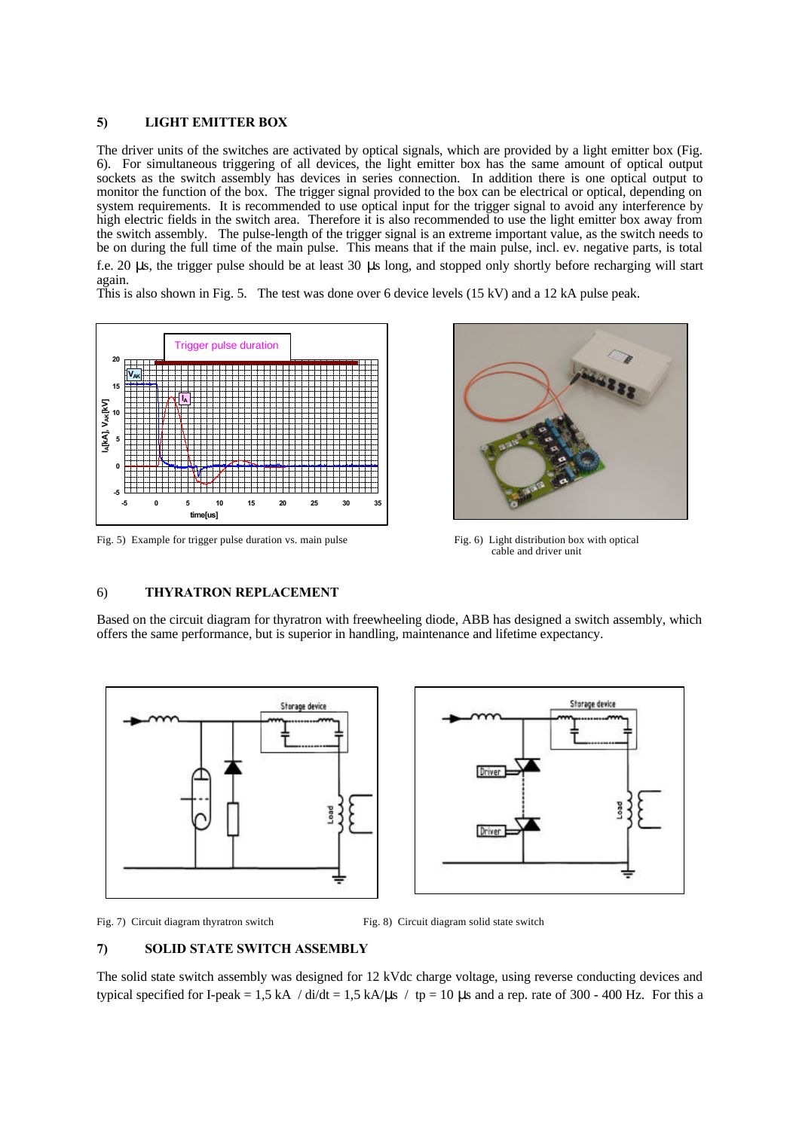#### **5) LIGHT EMITTER BOX**

The driver units of the switches are activated by optical signals, which are provided by a light emitter box (Fig. 6). For simultaneous triggering of all devices, the light emitter box has the same amount of optical output sockets as the switch assembly has devices in series connection. In addition there is one optical output to monitor the function of the box. The trigger signal provided to the box can be electrical or optical, depending on system requirements. It is recommended to use optical input for the trigger signal to avoid any interference by high electric fields in the switch area. Therefore it is also recommended to use the light emitter box away from the switch assembly. The pulse-length of the trigger signal is an extreme important value, as the switch needs to be on during the full time of the main pulse. This means that if the main pulse, incl. ev. negative parts, is total

f.e. 20 μs, the trigger pulse should be at least 30 μs long, and stopped only shortly before recharging will start again.

This is also shown in Fig. 5. The test was done over 6 device levels (15 kV) and a 12 kA pulse peak.



Fig. 5) Example for trigger pulse duration vs. main pulse Fig. 6) Light distribution box with optical



cable and driver unit

# 6) **THYRATRON REPLACEMENT**

Based on the circuit diagram for thyratron with freewheeling diode, ABB has designed a switch assembly, which offers the same performance, but is superior in handling, maintenance and lifetime expectancy.



Fig. 7) Circuit diagram thyratron switch Fig. 8) Circuit diagram solid state switch

#### **7) SOLID STATE SWITCH ASSEMBLY**

The solid state switch assembly was designed for 12 kVdc charge voltage, using reverse conducting devices and typical specified for I-peak = 1,5 kA / di/dt = 1,5 kA/ $\mu$ s / tp = 10  $\mu$ s and a rep. rate of 300 - 400 Hz. For this a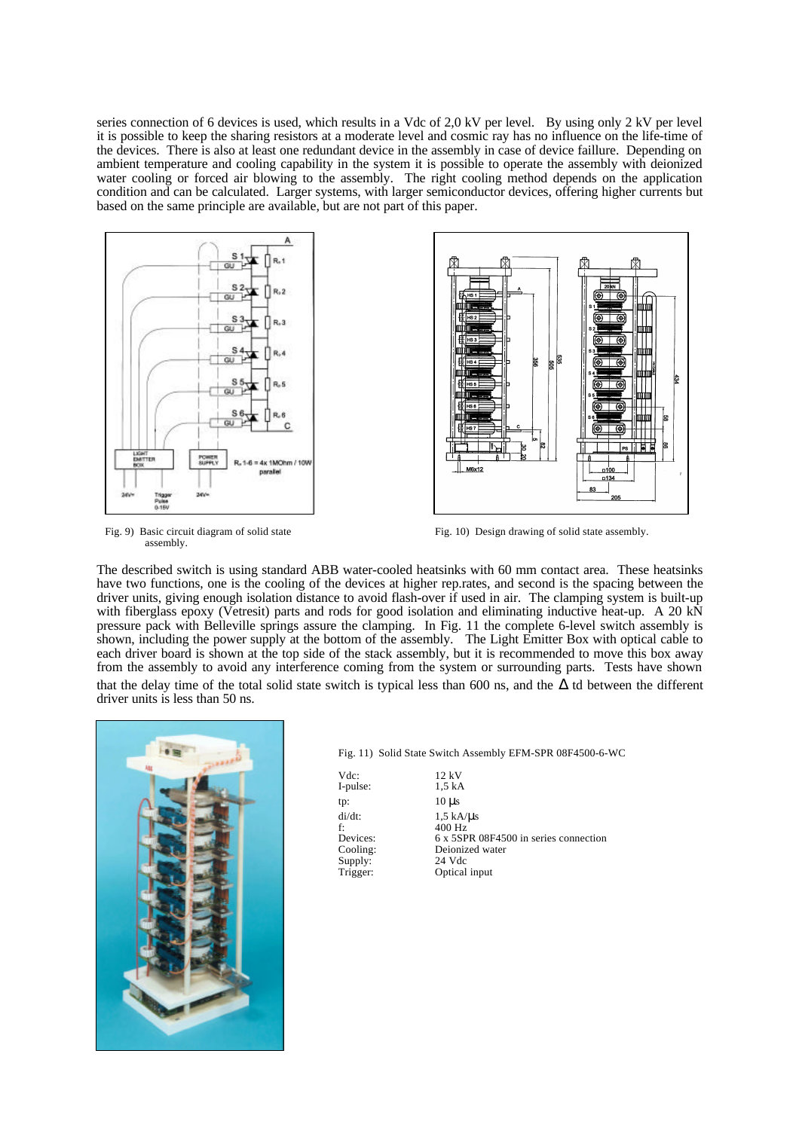series connection of 6 devices is used, which results in a Vdc of 2,0 kV per level. By using only 2 kV per level it is possible to keep the sharing resistors at a moderate level and cosmic ray has no influence on the life-time of the devices. There is also at least one redundant device in the assembly in case of device faillure. Depending on ambient temperature and cooling capability in the system it is possible to operate the assembly with deionized water cooling or forced air blowing to the assembly. The right cooling method depends on the application condition and can be calculated. Larger systems, with larger semiconductor devices, offering higher currents but based on the same principle are available, but are not part of this paper.





assembly.

Fig. 9) Basic circuit diagram of solid state Fig. 10) Design drawing of solid state assembly.

The described switch is using standard ABB water-cooled heatsinks with 60 mm contact area. These heatsinks have two functions, one is the cooling of the devices at higher rep.rates, and second is the spacing between the driver units, giving enough isolation distance to avoid flash-over if used in air. The clamping system is built-up with fiberglass epoxy (Vetresit) parts and rods for good isolation and eliminating inductive heat-up. A 20 kN pressure pack with Belleville springs assure the clamping. In Fig. 11 the complete 6-level switch assembly is shown, including the power supply at the bottom of the assembly. The Light Emitter Box with optical cable to each driver board is shown at the top side of the stack assembly, but it is recommended to move this box away from the assembly to avoid any interference coming from the system or surrounding parts. Tests have shown that the delay time of the total solid state switch is typical less than 600 ns, and the  $\Delta$  td between the different driver units is less than 50 ns.



|  |  | Fig. 11) Solid State Switch Assembly EFM-SPR 08F4500-6-WC |
|--|--|-----------------------------------------------------------|

Vdc: 12 kV<br>I-pulse: 1,5 kA I-pulse: tp: 10 μs f:  $400 \text{ Hz}$ <br>Devices:  $6 \times 5SP$ Supply:<br>Trigger:

di/dt:  $1,5 \text{ kA/}\mu\text{s}$ Devices: 6 x 5SPR 08F4500 in series connection<br>Cooling: Deionized water Deionized water<br>24 Vdc Optical input